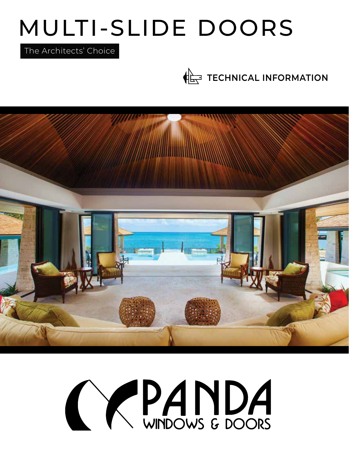# MULTI-SLIDE DOORS

The Architects' Choice

**TECHNICAL INFORMATION** 



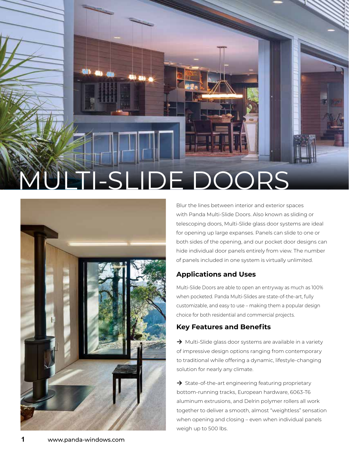



Blur the lines between interior and exterior spaces with Panda Multi-Slide Doors. Also known as sliding or telescoping doors, Multi-Slide glass door systems are ideal for opening up large expanses. Panels can slide to one or both sides of the opening, and our pocket door designs can hide individual door panels entirely from view. The number of panels included in one system is virtually unlimited.

## **Applications and Uses**

Multi-Slide Doors are able to open an entryway as much as 100% when pocketed. Panda Multi-Slides are state-of-the-art, fully customizable, and easy to use – making them a popular design choice for both residential and commercial projects.

# **Key Features and Benefits**

→ Multi-Slide glass door systems are available in a variety of impressive design options ranging from contemporary to traditional while offering a dynamic, lifestyle-changing solution for nearly any climate.

**→** State-of-the-art engineering featuring proprietary bottom-running tracks, European hardware, 6063-T6 aluminum extrusions, and Delrin polymer rollers all work together to deliver a smooth, almost "weightless" sensation when opening and closing – even when individual panels weigh up to 500 lbs.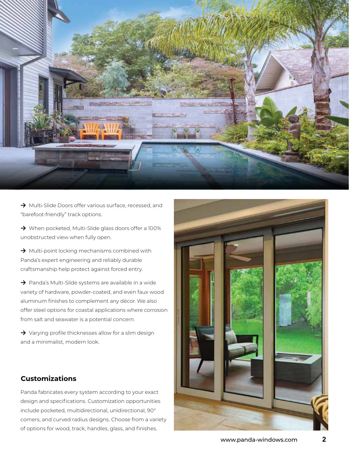

**→** Multi-Slide Doors offer various surface, recessed, and "barefoot-friendly" track options.

**→** When pocketed, Multi-Slide glass doors offer a 100% unobstructed view when fully open.

→ Multi-point locking mechanisms combined with Panda's expert engineering and reliably durable craftsmanship help protect against forced entry.

**→** Panda's Multi-Slide systems are available in a wide variety of hardware, powder-coated, and even faux wood aluminum finishes to complement any décor. We also offer steel options for coastal applications where corrosion from salt and seawater is a potential concern.

**→** Varying profile thicknesses allow for a slim design and a minimalist, modern look.

# **Customizations**

Panda fabricates every system according to your exact design and specifications. Customization opportunities include pocketed, multidirectional, unidirectional, 90° corners, and curved radius designs. Choose from a variety of options for wood, track, handles, glass, and finishes.

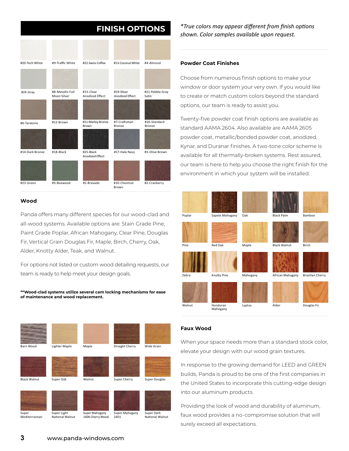# **FINISH OPTIONS**

| #20-Tech White  | #9-Traffic White                | #22-Swiss Coffee             | #13-Coconut White             | #4-Almond                     |
|-----------------|---------------------------------|------------------------------|-------------------------------|-------------------------------|
|                 |                                 |                              |                               |                               |
| #24-Gray        | #8-Metallic Full<br>Moon Silver | #15-Clear<br>Anodized Effect | #19-Silver<br>Anodized Effect | #21-Pebble Gray<br>Satin      |
|                 |                                 |                              |                               |                               |
| #6-Taratone     | #12-Brown                       | #11-Marley Bronze<br>Brown   | #7-Craftsman<br><b>Bronze</b> | #16-Standard<br><b>Bronze</b> |
|                 |                                 |                              |                               |                               |
| #14-Dark Bronze | #18-Black                       | #25-Black<br>Anodized Effect | #17-Hale Navy                 | #3-Olive Brown                |
|                 |                                 |                              |                               |                               |
| #23-Green       | #5-Boxwood                      | #1-Bravado                   | #10-Chestnut<br>Brown         | #2-Cranberry                  |

#### **Wood**

Panda offers many different species for our wood-clad and all-wood systems. Available options are: Stain Grade Pine, Paint Grade Poplar, African Mahogany, Clear Pine, Douglas Fir, Vertical Grain Douglas Fir, Maple, Birch, Cherry, Oak, Alder, Knotty Alder, Teak, and Walnut.

For options not listed or custom wood detailing requests, our team is ready to help meet your design goals.

#### **\*\*Wood-clad systems utilize several cam locking mechanisms for ease of maintenance and wood replacement.**

| Barn Wood              | Lighter Maple                  | Maple                              | <b>Straight Cherry</b> | Wide Grain                    |
|------------------------|--------------------------------|------------------------------------|------------------------|-------------------------------|
| <b>Black Walnut</b>    | Super Oak                      | Walnut                             | Super Cherry           | <b>Super Douglas</b>          |
| Super<br>Mediterranean | Super Light<br>National Walnut | Super Mahogany<br>1406 Cherry Wood | Super Mahogany<br>2401 | Super Dark<br>National Walnut |

*\*True colors may appear different from finish options shown. Color samples available upon request.*

#### **Powder Coat Finishes**

Choose from numerous finish options to make your window or door system your very own. If you would like to create or match custom colors beyond the standard options, our team is ready to assist you.

Twenty-five powder coat finish options are available as standard AAMA 2604. Also available are AAMA 2605 powder coat, metallic/bonded powder coat, anodized, Kynar, and Duranar finishes. A two-tone color scheme is available for all thermally-broken systems. Rest assured, our team is here to help you choose the right finish for the environment in which your system will be installed.

| Poplar | Sapele Mahogany | Oak      | <b>Black Palm</b>   | Bamboo                  |
|--------|-----------------|----------|---------------------|-------------------------|
|        |                 |          |                     |                         |
| Pine   | Red Oak         | Maple    | <b>Black Walnut</b> | Birch                   |
| Zebra  | Knotty Pine     | Mahogany | African Mahogany    | <b>Brazilian Cherry</b> |
| Walnut | Honduran        | Lyptus   | Alder               | Douglas Fir             |
|        | Mahogany        |          |                     |                         |

#### **Faux Wood**

When your space needs more than a standard stock color, elevate your design with our wood grain textures.

In response to the growing demand for LEED and GREEN builds, Panda is proud to be one of the first companies in the United States to incorporate this cutting-edge design into our aluminum products.

Providing the look of wood and durability of aluminum, faux wood provides a no-compromise solution that will surely exceed all expectations.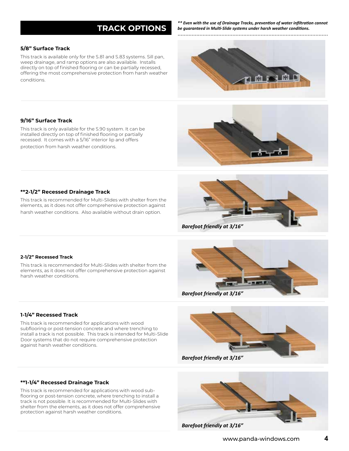# **TRACK OPTIONS**

**5/8" Surface Track**

This track is available only for the S.81 and S.83 systems. Sill pan, weep drainage, and ramp options are also available. Installs directly on top of finished flooring or can be partially recessed, offering the most comprehensive protection from harsh weather conditions.

*\*\* Even with the use of Drainage Tracks, prevention of water infiltration cannot be guaranteed in Multi-Slide systems under harsh weather conditions.* ................................................................................................





This track is only available for the S.90 system. It can be installed directly on top of finished flooring or partially recessed. It comes with a 5/16" interior lip and offers protection from harsh weather conditions.



This track is recommended for Multi-Slides with shelter from the elements, as it does not offer comprehensive protection against harsh weather conditions. Also available without drain option.





This track is recommended for Multi-Slides with shelter from the elements, as it does not offer comprehensive protection against harsh weather conditions.



This track is recommended for applications with wood subflooring or post-tension concrete and where trenching to install a track is not possible. This track is intended for Multi-Slide Door systems that do not require comprehensive protection against harsh weather conditions.



*Barefoot friendly at 3/16"*



This track is recommended for applications with wood subflooring or post-tension concrete, where trenching to install a track is not possible. It is recommended for Multi-Slides with shelter from the elements, as it does not offer comprehensive protection against harsh weather conditions.



*Barefoot friendly at 3/16"*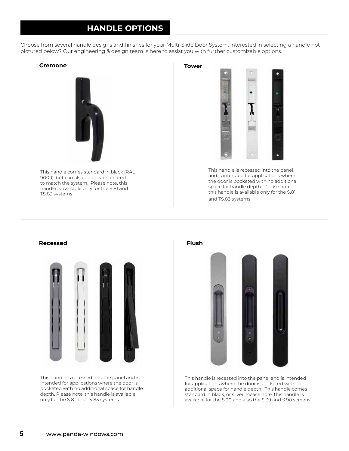# **HANDLE OPTIONS**

Choose from several handle designs and finishes for your Multi-Slide Door System. Interested in selecting a handle not pictured below? Our engineering & design team is here to assist you with further customizable options.

### **Cremone Tower**



This handle comes standard in black (RAL 9009), but can also be powder coated to match the system. Please note, this handle is available only for the S.81 and TS.83 systems.

This handle is recessed into the panel and is intended for applications where the door is pocketed with no additional space for handle depth. Please note, this handle is available only for the S.81 and TS.83 systems.



This handle is recessed into the panel and is intended for applications where the door is pocketed with no additional space for handle depth. Please note, this handle is available only for the S.81 and TS.83 systems.

**Flush**



This handle is recessed into the panel and is intended for applications where the door is pocketed with no additional space for handle depth. This handle comes standard in black, or silver. Please note, this handle is available for the S.90 and also the S.39 and S.90 screens.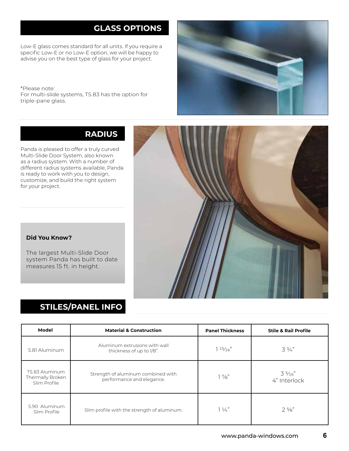# **GLASS OPTIONS**

Low-E glass comes standard for all units. If you require a specific Low-E or no Low-E option, we will be happy to advise you on the best type of glass for your project.

\*Please note: For multi-slide systems, TS.83 has the option for triple-pane glass.



# **RADIUS**

Panda is pleased to offer a truly curved Multi-Slide Door System, also known as a radius system. With a number of different radius systems available, Panda is ready to work with you to design, customize, and build the right system for your project.



## **Did You Know?**

The largest Multi-Slide Door system Panda has built to date measures 15 ft. in height.

# **STILES/PANEL INFO**

| Model                                              | <b>Material &amp; Construction</b>                              | <b>Panel Thickness</b> | <b>Stile &amp; Rail Profile</b> |
|----------------------------------------------------|-----------------------------------------------------------------|------------------------|---------------------------------|
| S.81 Aluminum                                      | Aluminum extrusions with wall<br>thickness of up to 1/8".       | $1\frac{15}{16}$       | $3\frac{3}{4}$                  |
| TS.83 Aluminum<br>Thermally Broken<br>Slim Profile | Strength of aluminum combined with<br>performance and elegance. | $1\frac{7}{8}$         | $3\frac{5}{16}$<br>4" Interlock |
| S.90 Aluminum<br>Slim Profile                      | Slim profile with the strength of aluminum.                     | $1\frac{1}{4}$         | $2\frac{5}{8}$                  |